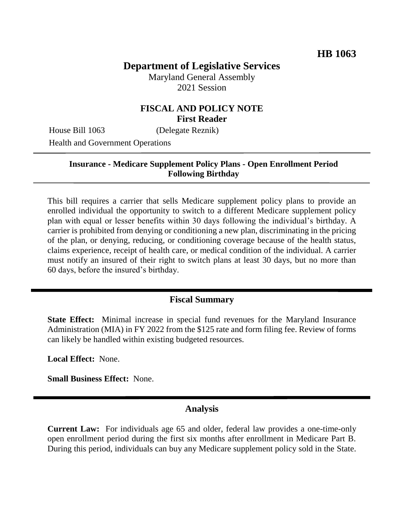# **Department of Legislative Services**

Maryland General Assembly 2021 Session

## **FISCAL AND POLICY NOTE First Reader**

House Bill 1063 (Delegate Reznik)

Health and Government Operations

#### **Insurance - Medicare Supplement Policy Plans - Open Enrollment Period Following Birthday**

This bill requires a carrier that sells Medicare supplement policy plans to provide an enrolled individual the opportunity to switch to a different Medicare supplement policy plan with equal or lesser benefits within 30 days following the individual's birthday. A carrier is prohibited from denying or conditioning a new plan, discriminating in the pricing of the plan, or denying, reducing, or conditioning coverage because of the health status, claims experience, receipt of health care, or medical condition of the individual. A carrier must notify an insured of their right to switch plans at least 30 days, but no more than 60 days, before the insured's birthday.

## **Fiscal Summary**

**State Effect:** Minimal increase in special fund revenues for the Maryland Insurance Administration (MIA) in FY 2022 from the \$125 rate and form filing fee. Review of forms can likely be handled within existing budgeted resources.

**Local Effect:** None.

**Small Business Effect:** None.

## **Analysis**

**Current Law:** For individuals age 65 and older, federal law provides a one-time-only open enrollment period during the first six months after enrollment in Medicare Part B. During this period, individuals can buy any Medicare supplement policy sold in the State.